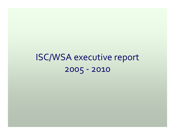# ISC/WSA executive repor<sup>t</sup> 2005 ‐ 2010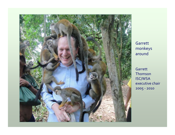

Garrett monkeys around

Garrett Thomson ISC/WSA executive chair 2005 ‐ 2010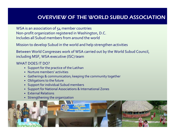## OVERVIEW OF THE WORLD SUBUD ASSOCIATION

WSA is an association of 54 member countries Non‐profit organization registered in Washington, D.C. Includes all Subud members from around the world

Mission to develop Subud in the world and help strengthen activities

Between World Congresses work of WSA carried out by the World Subud Council, including MSF, WSA executive (ISC) team

#### WHAT DOES IT DO?

- Support for the practice of the Latihan
- Nurture members' activities
- Gatherings & communication; keeping the community together
- Obligations to the future
- Support for individual Subud members
- Support for National Associations & International Zones
- External Relations
- Strengthening the organization

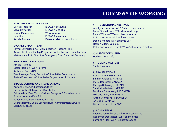### OUR WAY OF WORKING

#### **EXECUTIVE TEAM 2005 ‐ 2010**

Garrett ThomsonSamuel SimonssonJulia HurdAmalia Rasheed

 ISC/WSA executive Maya Bernardes **ISC/WSA** vice-chair WSA treasurer ISC/WSA secretary External relations coordinator

#### **1) CARE SUPPORT TEAM**

Rayner Sutherland (CST Administrator) Rosanna Hille Kumari Beck Scholarship Program Coordinator and Laurie Lathrop Maksum and Ruth González Emergency Fund Deputy & Secretary

#### **2) EXTERNAL RELATIONS**

Amalia RasheedVictor Margolin (WSA Forum) Katherine Carre (UN) Taufik Waage: Being Present WSA initiative Coordinator Stefan Freedman: WSA initiative Organization & Culture

#### **3) PUBLICATIONS AND TRANSLATIONS**

Armand Bisson, Publications Officer Jasmin Webb, Rahayu Talk Distribution Paloma de la Viña; Victor Carbayo (2005‐2008 Coordinator de Publicaciones en Español Subud Publications International Ltd: George Helmer, Chair; Leonard Hurd, Administrator; Edward MacKenzie (2009)

#### **5) INTERNATIONAL ARCHIVES**

Amalijah Thompson WSA Archives Coordinator Faisal Sillem former TPU (deceased 2009) Farlan Williams WSA archives Indonesia Ichiro Nakamura WSA archives Japan Daniela Moneta WSA archives USA Hassan Sillem, Belgium Robin and Valerie Drewett WSA Archives video archive

6) **HISTORY OF SUBUD** Harlinah Longcroft

**7) HOUSING MATTERS** Santa Raymond

**8) TRANSLATIONS** Adela Conti, ARGENTINA Salman Anglesio, FRANCE Pierre Rousseau, CANADA Marsiya Belinskaja, UKRAINE Sandra Lykhatska, UKRAINE Mardiana Situmeang, INDONESIA Murianti Lynn, INDONESIA Anton Situmeang, INDONESIA Ari Dirdjo, CANADA Bärbel Grimm, GERMANY

#### **9) ADMIN TEAM**

Leonard van Willenswaard, WSA Accountant, Roger Van Der Matten, WSA online office Lorraine Arden, WSA Registered Agent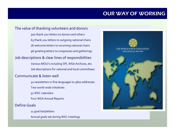### OUR WAY OF WORKING

### The value of thanking volunteers and donors

 thank you letters to donors and others thank you letters to outgoing national chairs welcome letters to incoming national chairs greeting letters to congresses and gatherings

### Job descriptions & clear lines of responsibilities

Various MOU's including SPI, WSA Archives, etc. Job descriptions for national and local committees

#### Communicate& listen well

32 newsletters in five languages to 3600 addresses Two world‐wide initiatives 51 WSC calendars Four WSA Annual Reports Define Goals

> 11 goal lists/letters Annual goals set during WSC meetings

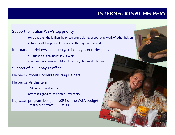# INTERNATIONAL HELPERS

### Support for latihan WSA's top priority

to strengthen the latihan, help resolve problems, suppor<sup>t</sup> the work of other helpers in touch with the pulse of the latihan throughout the world

#### International Helpers average 150 trips to 50 countries per year

718 trips to 213 countries in 4.5 years continue work between visits with email, phone calls, letters

Support of Ibu Rahayu's office

Helpers without Borders / Visiting Helpers

#### Helper cards this term:

- 268 helpers received cards
- newly designed cards printed ‐ wallet size

Kejiwaan program budget is 28% of the WSA budget Total over 4.5 years 455.5 k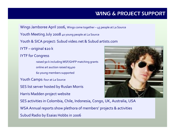# WING & PROJECT SUPPORT

Wings Jamboree April 2006, Wings come together – <sup>4</sup> 5 people at La Source

Youth Meeting July 2008 <sup>40</sup> young people at La Source

Youth & SICA project: Subud video.net & Subud artists.com

IYTF – original \$20 k

IYTF for Congress

raised 90 k including MSF/GHFP matching grants online art auction raised \$5400 60 young members supported

Youth Camps: four at La Source

SES list server hosted by Ruslan Morris

Harris Madden project website

SES activities in Colombia, Chile, Indonesia, Congo, UK, Australia, USA

WSA Annual reports show plethora of members' projects & activities

Subud Radio by Esaias Hobbs in 2006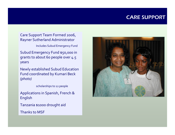### CARE SUPPORT

Care Support Team Formed 2006, Rayner Sutherland Administrator

Includes Subud Emergency Fund

Subud Emergency Fund \$50,000 in grants to about 60 people over 4.5 years

Newly established Subud Education Fund coordinated by Kumari Beck *(photo)*

scholarships to <sup>12</sup> people

Applications in Spanish, French & English

Tanzania \$1000 drought aid

Thanks to MSF

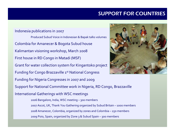## SUPPORT FOR COUNTRIES

#### Indonesia publications in 2007

Produced Subud Voice in Indonesian & Bapak talks volumes Colombia for Amanecer & Bogota Subud house Kalimantan visioning workshop, March 2008 First house in RD Congo in Matadi (MSF) Grant for water collection system for Kingantoko project Funding for Congo Brazzaville 1<sup>st</sup> National Congress Funding for Nigeria Congresses in <sup>2007</sup> and 2009 Support for National Committee work in Nigeria, RD Congo, Brazzaville International Gatherings with WSC meetings 2006 Bangalore, India, WSC meeting – 30 0 members 2007 Ascot, UK, Thank You Gathering organized by Subud Britain – 1000 members 2008 Amanecer, Colombia, organized by zones and Colombia – 25 0 members

200 9 Poio, Spain, organized by Zone 3 & Subud Spain – 30 0 members

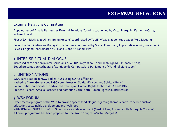#### External Relations Committee

Appointment of Amalia Rasheed as External Relations Coordinator, joined by Victor Margolin, Katherine Carre, Rohana Fraval

First WSA Initiative, 2006 ‐ <sup>07</sup> 'Being Present' coordinated by Taufik Waage, appointed at 2006 WSC Meeting

Second WSA Initiative 2008–09 'Org & Culture' coordinated by Stefan Freedman, Appreciative inquiry workshop in Lewes, England, coordinated by Liliana Gibbs & Graham Pitt

#### 1. INTER‐SPIRITUAL DIALOGUE

Increased participation in inter‐spiritual: i.e. WCRP Tokyo (2006) and Edinburgh MESP (2006 & 2007) Subud presentation cathedral of Santiago de Compostela.& Parliament of World religions (2009)

#### 2. UNITED NATIONS

WSA participation at NGO bodies in UN using SDIA's affiliation: Katherine Carré: Geneva two NGO committees on Spiritual Values and Spiritual Belief Solen Gratiet participated in advanced training on Human Rights for both WSA and SDIA Frederic Richard, Amalia Rasheed and Katherine Carre: 10th Human Rights Council session

### 3. WSA FORUM

Experimental program of the WSA to provide spaces for dialogue regarding themes central to Subud such as education, sustainable development and livelihood

With SDIA and GHFP in 2008 on Governance and development (Bardolf Paul, Rosanna Hille & Virginia Thomas) A Forum programme has been prepared for the World Congress (Victor Margolin)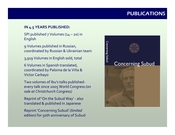### PUBLICATIONS

### **IN 4.5 YEARS PUBLISHED:**

SPI published <sup>7</sup> Volumes (14 – 20) in English

9 Volumes published in Russian, coordinated by Russian & Ukrainian team

3,919 Volumes in English sold, total

6 Volumes in Spanish translated, coordinated by Paloma de la Viña & Victor Carbayo

Two volumes of Ibu's talks published‐ every talk since 2005 World Congress *(on sale at Christchurch Congress)*

Reprint of 'On the Subud Way' ‐ also translated & published in Japanese

Reprint 'Concerning Subud' *(limited edition)* for 50th anniversary of Subud

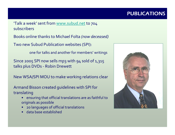# PUBLICATIONS

- 'Talk a week' sent from [www.subud.net](http://www.subud.net/) to 704 subscribers
- Books online thanks to Michael Folta *(now deceased)*
- Two new Subud Publication websites (SPI):
	- one for talks and another for members' writings
- Since 2005 SPI now sells mp3 with 94 sold of 1,315 talks plus DVDs ‐ Robin Drewett
- New WSA/SPI MOU to make working relations clear
- Armand Bisson created guidelines with SPI for translating
	- • ensuring that official translations are as faithful to originals as possible
	- •20 languages of official translations
	- •data base established

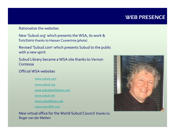### WEB PRESENCE

#### Rationalize the websites

New 'Subud.org' which presents the WSA, its work & functions thanks to Hassan Czwiertnia *(photo)*

Revised 'Subud.com' which presents Subud to the public with a new spirit

Subud Library became <sup>a</sup> WSA site thanks to Vernon Contessa

### Official WSA websites

[www.subud.com](http://www.subud.com/)

[www.subud.org](http://www.subud.org/)

[www.subudworldnews.com](http://www.subudworldnews.com/)

[www.subud.net](http://www.subud.net/)

[www.subudlibrary.net](http://www.subudlibrary.net/)

[www.subudlife.com](http://www.subudlife.com/)

New virtual office for the World Subud Council thanks to Roger van der Matten

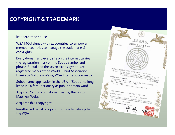# COPYRIGHT & TRADEMARK

#### Important because...

WSA MOU signed with 24 countries to empower member countries to manage the trademarks & copyrights

Every domain and every site on the internet carries the registration mark on the Subud symbol and phrase 'Subud and the seven circles symbol are registered marks of the World Subud Association' thanks to Matthew Weiss, WSA Internet Coordinator

Subud name application in the USA – 'Subud' <sup>n</sup> o long listed in Oxford Dictionary as public domain word

Acquired 'Subud.com' domain name, thanks to Matthew Weiss

Acquired Ibu's copyright

Re‐affirmed Bapak's copyright officially belongs to the WSA

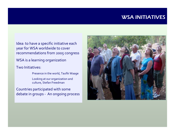### WSA INITIATIVES

Idea: to have <sup>a</sup> specific initiative each year for WSA worldwide to cover recommendations from 2005 congress

WSA is <sup>a</sup> learning organization

Two Initiatives:

Presence in the world, Taufik Waage

Looking at our organization and culture, Stefan Freedman

Countries participated with some debate in groups ‐ An ongoing process

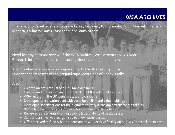### WSA ARCHIVES

Thank you to Faisal Sillem who passed away last year, to his family, Robin Drewett, Daniela Moneta, Farlan Williams . And there are many others.

Need for <sup>a</sup> systematic review of the WSA archives, assessment took 2.5 years Research into audio‐visual (film, sound, video) and digital archives.

A comprehensive repor<sup>t</sup> was prepared for the WSC meeting in Spain Urgent need to assess of the original tape recordings of Bapak's talks

#### Also:

- Created an accurate list of all Ibu Rahayu's talks
- $\Box$ Created and distributed an interim backup of the video talks archive
- WSA records in the UK were relocated to Canberra
- $\Box$ Developed preservation plan with costs for all film and video holdings
- Developed specifications for the digital repository & backup system for digital files
- $\Box$ Began to develop policies for collection & uploading to websites
- $\Box$ Reviewed agreements with host countries & viability of backup system
- $\Box$ Canberra archive was reorganised to allow easier access
- Offer received to fund & build <sup>a</sup> permanen<sup>t</sup> WSA archive facility on Subud Canberra land in <sup>2010</sup>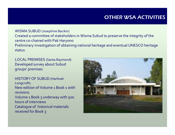# OTHER WSA ACTIVITIES

WISMA SUBUD (Josephine Bacikin) Created a committee of stakeholders in Wisma Subud to preserve the integrity of the centre co‐chaired with Pak Haryono Preliminary investigation of obtaining national heritage and eventual UNESCO heritage status

LOCAL PREMISES (Santa Raymond) Developed survey about Subud groups' premises

HISTORY OF SUBUD (Harlinah Longcroft): New edition of Volume 1 Book1 withrevisionsVolume 1 Book 3 underway with 500 hours of interviews Catalogue of historical materials received for Book 3

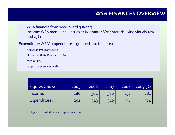WSA finances from 2006‐9 (3rd quarter):

Income: WSA member countries 41%; grants 18%; enterprises/individuals 10% and 23%

Expenditure: WSA's expenditure is grouped into four areas:

Kejiwaan Programs 28%

Human Activity Programs 14%

Media 11%

supporting services: 47%

| Figures US\$K: | 2005 | 2006 | 2007 | 2008 | 200930 |
|----------------|------|------|------|------|--------|
| Income:        | 286  | 362  | 586  | 437  | 281    |
| Expenditure:   | 252  | 343  | 310  | 338  | 324    |

(Adjusted to exclude special purpose donation)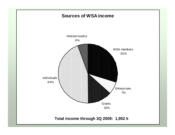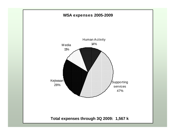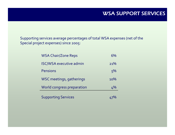Supporting services average percentages of total WSA expenses (net of the Special project expenses) since 2005:

| <b>WSA Chair/Zone Reps</b>     | 6%  |
|--------------------------------|-----|
| <b>ISC/WSA</b> executive admin | 21% |
| <b>Pensions</b>                | 5%  |
| WSC meetings, gatherings       | 10% |
| World congress preparation     | 4%  |
| <b>Supporting Services</b>     |     |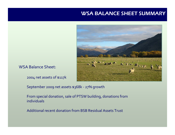### WSA BALANCE SHEET SUMMARY



WSA Balance Sheet:

2004 net assets of \$117k

September 2009 net assets \$368k ‐ 27% growth

From special donation, sale of PTSW building, donations from individuals

Additional recent donation from BSB Residual Assets Trust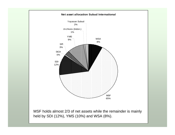